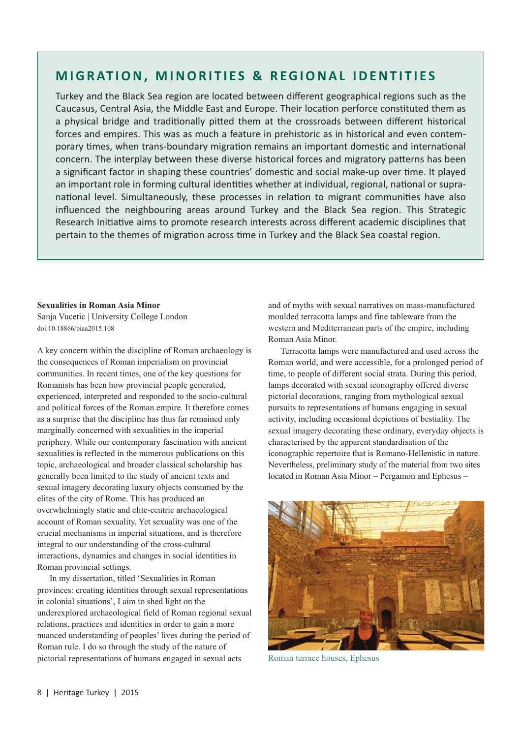## **MIGRATION, MINORITIES & REGIONAL IDENTITIES**

Turkey and the Black Sea region are located between different geographical regions such as the Caucasus, Central Asia, the Middle East and Europe. Their location perforce constituted them as a physical bridge and traditionally pitted them at the crossroads between different historical forces and empires. This was as much a feature in prehistoric as in historical and even contem‐ porary times, when trans‐boundary migration remains an important domestic and international concern. The interplay between these diverse historical forces and migratory patterns has been a significant factor in shaping these countries' domestic and social make‐up over time. It played an important role in forming cultural identities whether at individual, regional, national or supra‐ national level. Simultaneously, these processes in relation to migrant communities have also influenced the neighbouring areas around Turkey and the Black Sea region. This Strategic Research Initiative aims to promote research interests across different academic disciplines that pertain to the themes of migration across time in Turkey and the Black Sea coastal region.

## **Sexualities in Roman Asia Minor**

Sanja Vucetic | University College London doi:10.18866/biaa2015.108

A key concern within the discipline of Roman archaeology is the consequences of Roman imperialism on provincial communities. In recent times, one of the key questions for Romanists has been how provincial people generated, experienced, interpreted and responded to the socio-cultural and political forces of the Roman empire. It therefore comes as a surprise that the discipline has thus far remained only marginally concerned with sexualities in the imperial periphery. While our contemporary fascination with ancient sexualities is reflected in the numerous publications on this topic, archaeological and broader classical scholarship has generally been limited to the study of ancient texts and sexual imagery decorating luxury objects consumed by the elites of the city of Rome. This has produced an overwhelmingly static and elite-centric archaeological account of Roman sexuality. Yet sexuality was one of the crucial mechanisms in imperial situations, and is therefore integral to our understanding of the cross-cultural interactions, dynamics and changes in social identities in Roman provincial settings.

In my dissertation, titled 'Sexualities in Roman provinces: creating identities through sexual representations in colonial situations', I aim to shed light on the underexplored archaeological field of Roman regional sexual relations, practices and identities in order to gain a more nuanced understanding of peoples' lives during the period of Roman rule. I do so through the study of the nature of pictorial representations of humans engaged in sexual acts

and of myths with sexual narratives on mass-manufactured moulded terracotta lamps and fine tableware from the western and Mediterranean parts of the empire, including Roman Asia Minor.

Terracotta lamps were manufactured and used across the Roman world, and were accessible, for a prolonged period of time, to people of different social strata. During this period, lamps decorated with sexual iconography offered diverse pictorial decorations, ranging from mythological sexual pursuits to representations of humans engaging in sexual activity, including occasional depictions of bestiality. The sexual imagery decorating these ordinary, everyday objects is characterised by the apparent standardisation of the iconographic repertoire that is Romano-Hellenistic in nature. Nevertheless, preliminary study of the material from two sites located in Roman Asia Minor – Pergamon and Ephesus –



Roman terrace houses, Ephesus